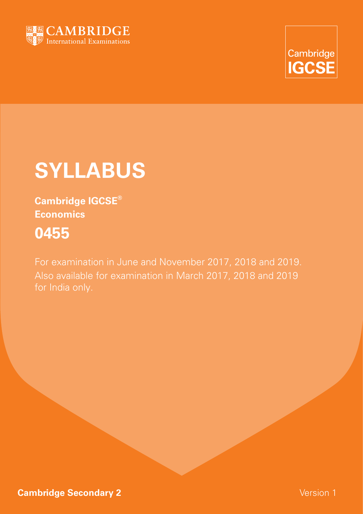



# **Syllabus**

**Cambridge IGCSE® Economics 0455**

For examination in June and November 2017, 2018 and 2019. Also available for examination in March 2017, 2018 and 2019 for India only.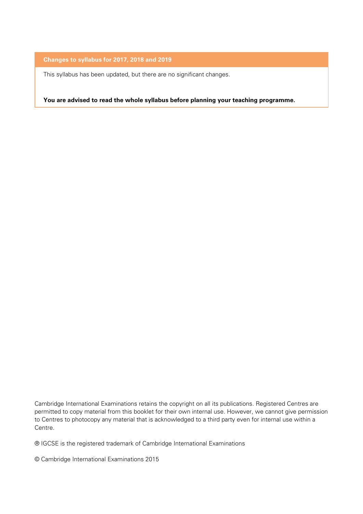#### **Changes to syllabus for 2017, 2018 and 2019**

This syllabus has been updated, but there are no significant changes.

**You are advised to read the whole syllabus before planning your teaching programme.**

Cambridge International Examinations retains the copyright on all its publications. Registered Centres are permitted to copy material from this booklet for their own internal use. However, we cannot give permission to Centres to photocopy any material that is acknowledged to a third party even for internal use within a Centre.

® IGCSE is the registered trademark of Cambridge International Examinations

© Cambridge International Examinations 2015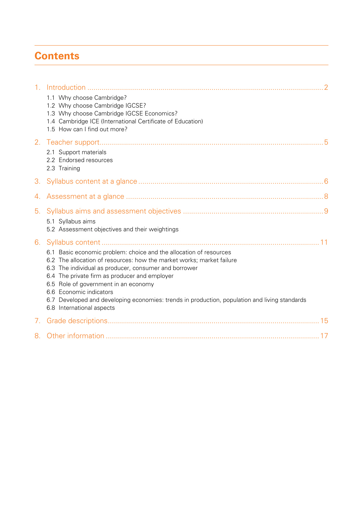# **Contents**

| 1 <sub>1</sub> |                                                                                                                                                                                                                                                                                                                                                                                                                                                        |
|----------------|--------------------------------------------------------------------------------------------------------------------------------------------------------------------------------------------------------------------------------------------------------------------------------------------------------------------------------------------------------------------------------------------------------------------------------------------------------|
|                | 1.1 Why choose Cambridge?<br>1.2 Why choose Cambridge IGCSE?<br>1.3 Why choose Cambridge IGCSE Economics?<br>1.4 Cambridge ICE (International Certificate of Education)<br>1.5 How can I find out more?                                                                                                                                                                                                                                                |
| 2.             | 2.1 Support materials<br>2.2 Endorsed resources<br>2.3 Training                                                                                                                                                                                                                                                                                                                                                                                        |
| 3.             |                                                                                                                                                                                                                                                                                                                                                                                                                                                        |
|                |                                                                                                                                                                                                                                                                                                                                                                                                                                                        |
| 5.             | 5.1 Syllabus aims<br>5.2 Assessment objectives and their weightings                                                                                                                                                                                                                                                                                                                                                                                    |
| 6.             | 6.1 Basic economic problem: choice and the allocation of resources<br>6.2 The allocation of resources: how the market works; market failure<br>6.3 The individual as producer, consumer and borrower<br>6.4 The private firm as producer and employer<br>6.5 Role of government in an economy<br>6.6 Economic indicators<br>6.7 Developed and developing economies: trends in production, population and living standards<br>6.8 International aspects |
| 7.             |                                                                                                                                                                                                                                                                                                                                                                                                                                                        |
| 8.             |                                                                                                                                                                                                                                                                                                                                                                                                                                                        |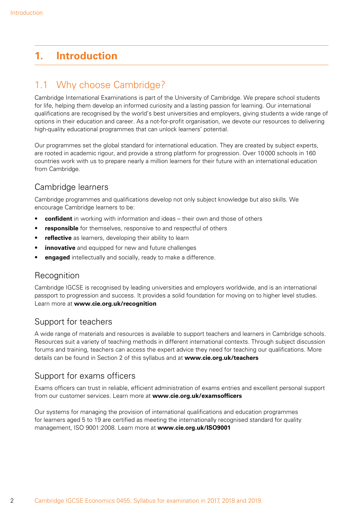# **1. Introduction**

# 1.1 Why choose Cambridge?

Cambridge International Examinations is part of the University of Cambridge. We prepare school students for life, helping them develop an informed curiosity and a lasting passion for learning. Our international qualifications are recognised by the world's best universities and employers, giving students a wide range of options in their education and career. As a not-for-profit organisation, we devote our resources to delivering high-quality educational programmes that can unlock learners' potential.

Our programmes set the global standard for international education. They are created by subject experts, are rooted in academic rigour, and provide a strong platform for progression. Over 10000 schools in 160 countries work with us to prepare nearly a million learners for their future with an international education from Cambridge.

## Cambridge learners

Cambridge programmes and qualifications develop not only subject knowledge but also skills. We encourage Cambridge learners to be:

- • **confident** in working with information and ideas their own and those of others
- responsible for themselves, responsive to and respectful of others
- reflective as learners, developing their ability to learn
- **innovative** and equipped for new and future challenges
- **engaged** intellectually and socially, ready to make a difference.

### **Recognition**

Cambridge IGCSE is recognised by leading universities and employers worldwide, and is an international passport to progression and success. It provides a solid foundation for moving on to higher level studies. Learn more at **www.cie.org.uk/recognition**

### Support for teachers

A wide range of materials and resources is available to support teachers and learners in Cambridge schools. Resources suit a variety of teaching methods in different international contexts. Through subject discussion forums and training, teachers can access the expert advice they need for teaching our qualifications. More details can be found in Section 2 of this syllabus and at **www.cie.org.uk/teachers**

### Support for exams officers

Exams officers can trust in reliable, efficient administration of exams entries and excellent personal support from our customer services. Learn more at **www.cie.org.uk/examsofficers** 

Our systems for managing the provision of international qualifications and education programmes for learners aged 5 to 19 are certified as meeting the internationally recognised standard for quality management, ISO 9001:2008. Learn more at **www.cie.org.uk/ISO9001**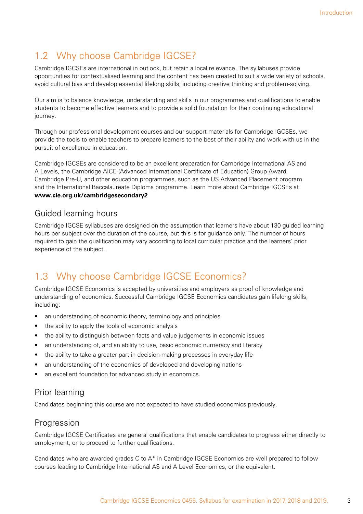# 1.2 Why choose Cambridge IGCSE?

Cambridge IGCSEs are international in outlook, but retain a local relevance. The syllabuses provide opportunities for contextualised learning and the content has been created to suit a wide variety of schools, avoid cultural bias and develop essential lifelong skills, including creative thinking and problem-solving.

Our aim is to balance knowledge, understanding and skills in our programmes and qualifications to enable students to become effective learners and to provide a solid foundation for their continuing educational journey.

Through our professional development courses and our support materials for Cambridge IGCSEs, we provide the tools to enable teachers to prepare learners to the best of their ability and work with us in the pursuit of excellence in education.

Cambridge IGCSEs are considered to be an excellent preparation for Cambridge International AS and A Levels, the Cambridge AICE (Advanced International Certificate of Education) Group Award, Cambridge Pre-U, and other education programmes, such as the US Advanced Placement program and the International Baccalaureate Diploma programme. Learn more about Cambridge IGCSEs at **www.cie.org.uk/cambridgesecondary2**

#### Guided learning hours

Cambridge IGCSE syllabuses are designed on the assumption that learners have about 130 guided learning hours per subject over the duration of the course, but this is for guidance only. The number of hours required to gain the qualification may vary according to local curricular practice and the learners' prior experience of the subject.

# 1.3 Why choose Cambridge IGCSE Economics?

Cambridge IGCSE Economics is accepted by universities and employers as proof of knowledge and understanding of economics. Successful Cambridge IGCSE Economics candidates gain lifelong skills, including:

- an understanding of economic theory, terminology and principles
- the ability to apply the tools of economic analysis
- the ability to distinguish between facts and value judgements in economic issues
- an understanding of, and an ability to use, basic economic numeracy and literacy
- the ability to take a greater part in decision-making processes in everyday life
- an understanding of the economies of developed and developing nations
- an excellent foundation for advanced study in economics.

### Prior learning

Candidates beginning this course are not expected to have studied economics previously.

#### Progression

Cambridge IGCSE Certificates are general qualifications that enable candidates to progress either directly to employment, or to proceed to further qualifications.

Candidates who are awarded grades C to  $A^*$  in Cambridge IGCSE Economics are well prepared to follow courses leading to Cambridge International AS and A Level Economics, or the equivalent.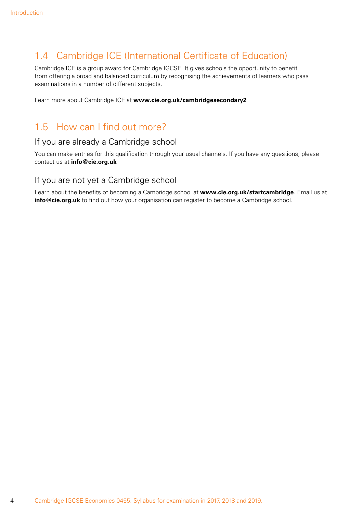# 1.4 Cambridge ICE (International Certificate of Education)

Cambridge ICE is a group award for Cambridge IGCSE. It gives schools the opportunity to benefit from offering a broad and balanced curriculum by recognising the achievements of learners who pass examinations in a number of different subjects.

Learn more about Cambridge ICE at **www.cie.org.uk/cambridgesecondary2**

## 1.5 How can I find out more?

#### If you are already a Cambridge school

You can make entries for this qualification through your usual channels. If you have any questions, please contact us at **info@cie.org.uk**

#### If you are not yet a Cambridge school

Learn about the benefits of becoming a Cambridge school at **www.cie.org.uk/startcambridge**. Email us at **info@cie.org.uk** to find out how your organisation can register to become a Cambridge school.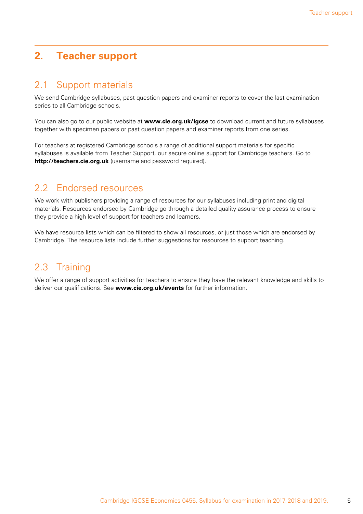# **2. Teacher support**

## 2.1 Support materials

We send Cambridge syllabuses, past question papers and examiner reports to cover the last examination series to all Cambridge schools.

You can also go to our public website at **www.cie.org.uk/igcse** to download current and future syllabuses together with specimen papers or past question papers and examiner reports from one series.

For teachers at registered Cambridge schools a range of additional support materials for specific syllabuses is available from Teacher Support, our secure online support for Cambridge teachers. Go to **http://teachers.cie.org.uk** (username and password required).

## 2.2 Endorsed resources

We work with publishers providing a range of resources for our syllabuses including print and digital materials. Resources endorsed by Cambridge go through a detailed quality assurance process to ensure they provide a high level of support for teachers and learners.

We have resource lists which can be filtered to show all resources, or just those which are endorsed by Cambridge. The resource lists include further suggestions for resources to support teaching.

# 2.3 Training

We offer a range of support activities for teachers to ensure they have the relevant knowledge and skills to deliver our qualifications. See **www.cie.org.uk/events** for further information.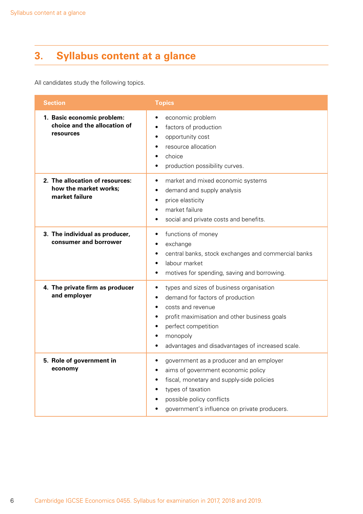# **3. Syllabus content at a glance**

All candidates study the following topics.

| <b>Section</b>                                                             | <b>Topics</b>                                                                                                                                                                                                                                                                                               |  |  |  |  |
|----------------------------------------------------------------------------|-------------------------------------------------------------------------------------------------------------------------------------------------------------------------------------------------------------------------------------------------------------------------------------------------------------|--|--|--|--|
| 1. Basic economic problem:<br>choice and the allocation of<br>resources    | economic problem<br>factors of production<br>٠<br>opportunity cost<br>٠<br>resource allocation<br>choice<br>٠<br>production possibility curves.                                                                                                                                                             |  |  |  |  |
| 2. The allocation of resources:<br>how the market works;<br>market failure | market and mixed economic systems<br>٠<br>demand and supply analysis<br>٠<br>price elasticity<br>٠<br>market failure<br>$\bullet$<br>social and private costs and benefits.                                                                                                                                 |  |  |  |  |
| 3. The individual as producer,<br>consumer and borrower                    | functions of money<br>$\bullet$<br>exchange<br>٠<br>central banks, stock exchanges and commercial banks<br>٠<br>labour market<br>$\bullet$<br>motives for spending, saving and borrowing.<br>$\bullet$                                                                                                      |  |  |  |  |
| 4. The private firm as producer<br>and employer                            | types and sizes of business organisation<br>$\bullet$<br>demand for factors of production<br>$\bullet$<br>costs and revenue<br>$\bullet$<br>profit maximisation and other business goals<br>٠<br>perfect competition<br>$\bullet$<br>monopoly<br>٠<br>advantages and disadvantages of increased scale.<br>٠ |  |  |  |  |
| 5. Role of government in<br>economy                                        | government as a producer and an employer<br>٠<br>aims of government economic policy<br>fiscal, monetary and supply-side policies<br>types of taxation<br>possible policy conflicts<br>government's influence on private producers.                                                                          |  |  |  |  |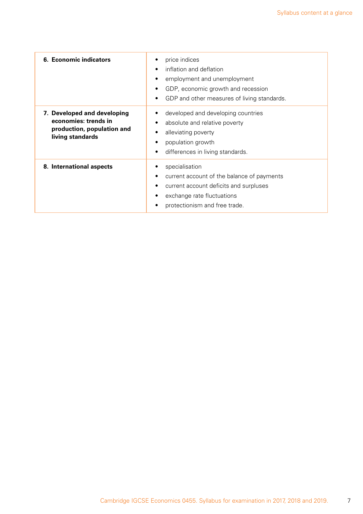| 6. Economic indicators                                                                                | price indices<br>inflation and deflation<br>$\bullet$<br>employment and unemployment<br>GDP, economic growth and recession<br>٠<br>GDP and other measures of living standards.<br>٠  |
|-------------------------------------------------------------------------------------------------------|--------------------------------------------------------------------------------------------------------------------------------------------------------------------------------------|
| 7. Developed and developing<br>economies: trends in<br>production, population and<br>living standards | developed and developing countries<br>absolute and relative poverty<br>٠<br>alleviating poverty<br>population growth<br>differences in living standards.<br>٠                        |
| 8. International aspects                                                                              | specialisation<br>current account of the balance of payments<br>٠<br>current account deficits and surpluses<br>٠<br>exchange rate fluctuations<br>٠<br>protectionism and free trade. |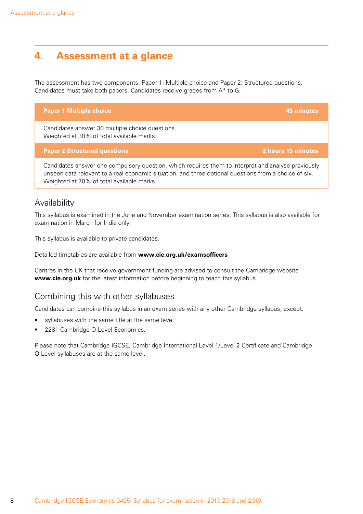# **4. Assessment at a glance**

The assessment has two components, Paper 1: Multiple choice and Paper 2: Structured questions. Candidates must take both papers. Candidates receive grades from A\* to G.

| Candidates answer 30 multiple choice questions. |  |  |  |  |
|-------------------------------------------------|--|--|--|--|
| Weighted at 30% of total available marks.       |  |  |  |  |

#### **Paper 2 Structured questions 2 hours 15 minutes**

Candidates answer one compulsory question, which requires them to interpret and analyse previously unseen data relevant to a real economic situation, and three optional questions from a choice of six. Weighted at 70% of total available marks.

**Paper 1 Multiple choice 45 minutes**

#### Availability

This syllabus is examined in the June and November examination series. This syllabus is also available for examination in March for India only.

This syllabus is available to private candidates.

Detailed timetables are available from **www.cie.org.uk/examsofficers**

Centres in the UK that receive government funding are advised to consult the Cambridge website **www.cie.org.uk** for the latest information before beginning to teach this syllabus.

#### Combining this with other syllabuses

Candidates can combine this syllabus in an exam series with any other Cambridge syllabus, except:

- syllabuses with the same title at the same level
- 2281 Cambridge O Level Economics.

Please note that Cambridge IGCSE, Cambridge International Level 1/Level 2 Certificate and Cambridge O Level syllabuses are at the same level.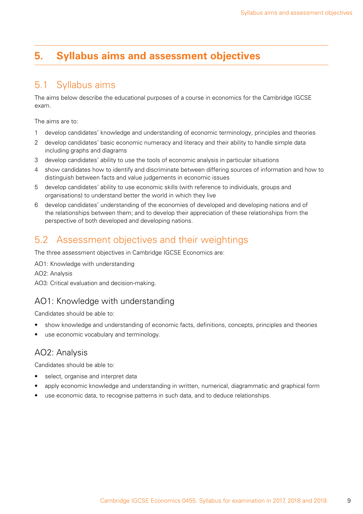# **5. Syllabus aims and assessment objectives**

## 5.1 Syllabus aims

The aims below describe the educational purposes of a course in economics for the Cambridge IGCSE exam.

The aims are to:

- 1 develop candidates' knowledge and understanding of economic terminology, principles and theories
- 2 develop candidates' basic economic numeracy and literacy and their ability to handle simple data including graphs and diagrams
- 3 develop candidates' ability to use the tools of economic analysis in particular situations
- 4 show candidates how to identify and discriminate between differing sources of information and how to distinguish between facts and value judgements in economic issues
- 5 develop candidates' ability to use economic skills (with reference to individuals, groups and organisations) to understand better the world in which they live
- 6 develop candidates' understanding of the economies of developed and developing nations and of the relationships between them; and to develop their appreciation of these relationships from the perspective of both developed and developing nations.

## 5.2 Assessment objectives and their weightings

The three assessment objectives in Cambridge IGCSE Economics are:

AO1: Knowledge with understanding AO2: Analysis AO3: Critical evaluation and decision-making.

### AO1: Knowledge with understanding

Candidates should be able to:

- show knowledge and understanding of economic facts, definitions, concepts, principles and theories
- use economic vocabulary and terminology.

#### AO2: Analysis

- select, organise and interpret data
- apply economic knowledge and understanding in written, numerical, diagrammatic and graphical form
- use economic data, to recognise patterns in such data, and to deduce relationships.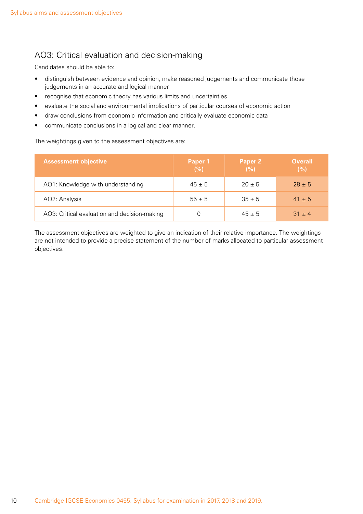## AO3: Critical evaluation and decision-making

Candidates should be able to:

- distinguish between evidence and opinion, make reasoned judgements and communicate those judgements in an accurate and logical manner
- recognise that economic theory has various limits and uncertainties
- • evaluate the social and environmental implications of particular courses of economic action
- • draw conclusions from economic information and critically evaluate economic data
- • communicate conclusions in a logical and clear manner.

The weightings given to the assessment objectives are:

| <b>Assessment objective</b>                  | Paper 1<br>(%) | Paper 2<br>(%) | <b>Overall</b><br>(%) |
|----------------------------------------------|----------------|----------------|-----------------------|
| AO1: Knowledge with understanding            | $45 \pm 5$     | $20 \pm 5$     | $28 \pm 5$            |
| AO2: Analysis                                | $55 \pm 5$     | $35 \pm 5$     | $41 \pm 5$            |
| AO3: Critical evaluation and decision-making |                | $45 \pm 5$     | $31 + 4$              |

The assessment objectives are weighted to give an indication of their relative importance. The weightings are not intended to provide a precise statement of the number of marks allocated to particular assessment objectives.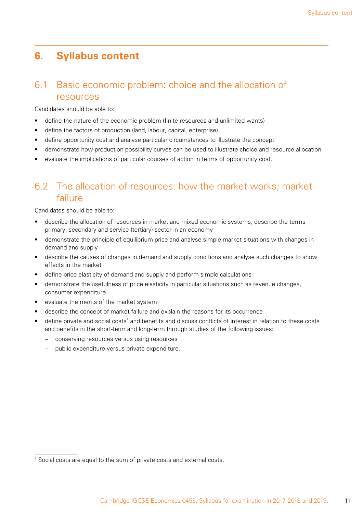## **6. Syllabus content**

## 6.1 Basic economic problem: choice and the allocation of resources

Candidates should be able to:

- define the nature of the economic problem (finite resources and unlimited wants)
- define the factors of production (land, labour, capital, enterprise)
- define opportunity cost and analyse particular circumstances to illustrate the concept
- demonstrate how production possibility curves can be used to illustrate choice and resource allocation
- evaluate the implications of particular courses of action in terms of opportunity cost.

# 6.2 The allocation of resources: how the market works; market failure

- describe the allocation of resources in market and mixed economic systems; describe the terms primary, secondary and service (tertiary) sector in an economy
- demonstrate the principle of equilibrium price and analyse simple market situations with changes in demand and supply
- describe the causes of changes in demand and supply conditions and analyse such changes to show effects in the market
- define price elasticity of demand and supply and perform simple calculations
- demonstrate the usefulness of price elasticity in particular situations such as revenue changes, consumer expenditure
- • evaluate the merits of the market system
- describe the concept of market failure and explain the reasons for its occurrence
- $\bullet$  define private and social costs<sup>1</sup> and benefits and discuss conflicts of interest in relation to these costs and benefits in the short-term and long-term through studies of the following issues:
	- conserving resources versus using resources
	- public expenditure versus private expenditure.

 $1$  Social costs are equal to the sum of private costs and external costs.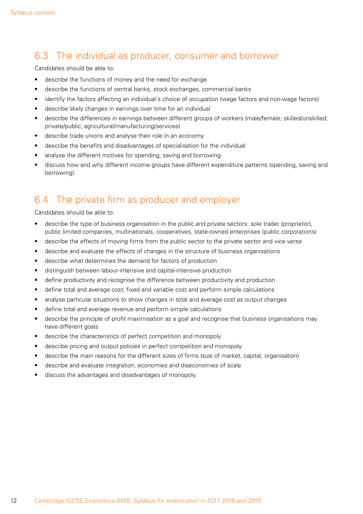# 6.3 The individual as producer, consumer and borrower

Candidates should be able to:

- describe the functions of money and the need for exchange
- describe the functions of central banks, stock exchanges, commercial banks
- identify the factors affecting an individual's choice of occupation (wage factors and non-wage factors)
- • describe likely changes in earnings over time for an individual
- describe the differences in earnings between different groups of workers (male/female; skilled/unskilled; private/public; agricultural/manufacturing/services)
- describe trade unions and analyse their role in an economy
- describe the benefits and disadvantages of specialisation for the individual
- analyse the different motives for spending, saving and borrowing
- discuss how and why different income groups have different expenditure patterns (spending, saving and borrowing).

## 6.4 The private firm as producer and employer

- describe the type of business organisation in the public and private sectors: sole trader (proprietor), public limited companies, multinationals, cooperatives, state-owned enterprises (public corporations)
- describe the effects of moving firms from the public sector to the private sector and *vice versa*
- describe and evaluate the effects of changes in the structure of business organisations
- describe what determines the demand for factors of production
- • distinguish between labour-intensive and capital-intensive production
- define productivity and recognise the difference between productivity and production
- define total and average cost, fixed and variable cost and perform simple calculations
- analyse particular situations to show changes in total and average cost as output changes
- define total and average revenue and perform simple calculations
- describe the principle of profit maximisation as a goal and recognise that business organisations may have different goals
- describe the characteristics of perfect competition and monopoly
- describe pricing and output policies in perfect competition and monopoly
- • describe the main reasons for the different sizes of firms (size of market, capital, organisation)
- describe and evaluate integration, economies and diseconomies of scale
- discuss the advantages and disadvantages of monopoly.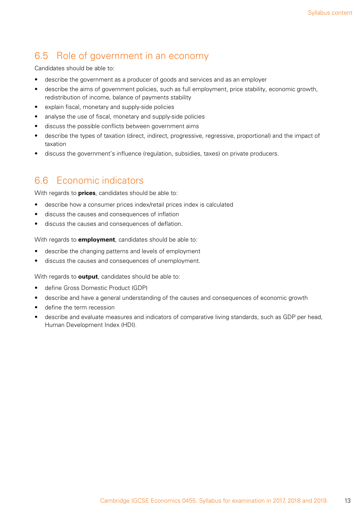# 6.5 Role of government in an economy

Candidates should be able to:

- describe the government as a producer of goods and services and as an employer
- describe the aims of government policies, such as full employment, price stability, economic growth, redistribution of income, balance of payments stability
- • explain fiscal, monetary and supply-side policies
- analyse the use of fiscal, monetary and supply-side policies
- discuss the possible conflicts between government aims
- describe the types of taxation (direct, indirect, progressive, regressive, proportional) and the impact of taxation
- • discuss the government's influence (regulation, subsidies, taxes) on private producers.

## 6.6 Economic indicators

With regards to **prices**, candidates should be able to:

- describe how a consumer prices index/retail prices index is calculated
- discuss the causes and consequences of inflation
- • discuss the causes and consequences of deflation.

With regards to **employment**, candidates should be able to:

- describe the changing patterns and levels of employment
- discuss the causes and consequences of unemployment.

With regards to **output**, candidates should be able to:

- define Gross Domestic Product (GDP)
- describe and have a general understanding of the causes and consequences of economic growth
- • define the term recession
- describe and evaluate measures and indicators of comparative living standards, such as GDP per head, Human Development Index (HDI).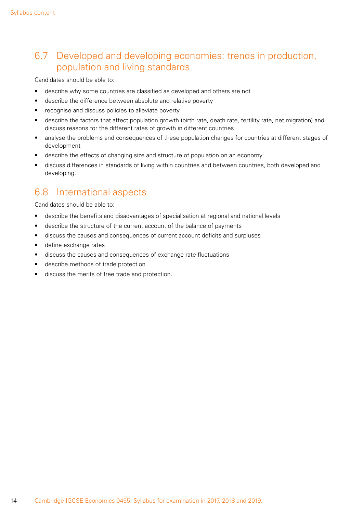# 6.7 Developed and developing economies: trends in production, population and living standards

Candidates should be able to:

- describe why some countries are classified as developed and others are not
- describe the difference between absolute and relative poverty
- recognise and discuss policies to alleviate poverty
- describe the factors that affect population growth (birth rate, death rate, fertility rate, net migration) and discuss reasons for the different rates of growth in different countries
- analyse the problems and consequences of these population changes for countries at different stages of development
- describe the effects of changing size and structure of population on an economy
- discuss differences in standards of living within countries and between countries, both developed and developing.

## 6.8 International aspects

- describe the benefits and disadvantages of specialisation at regional and national levels
- describe the structure of the current account of the balance of payments
- discuss the causes and consequences of current account deficits and surpluses
- define exchange rates
- discuss the causes and consequences of exchange rate fluctuations
- • describe methods of trade protection
- discuss the merits of free trade and protection.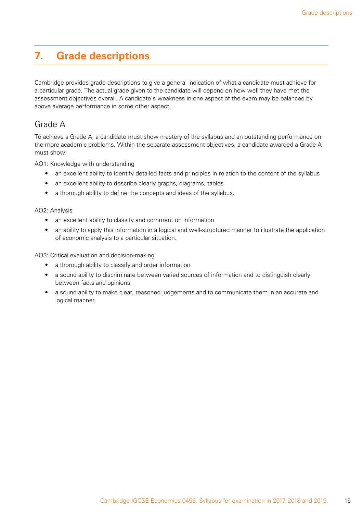# **7. Grade descriptions**

Cambridge provides grade descriptions to give a general indication of what a candidate must achieve for a particular grade. The actual grade given to the candidate will depend on how well they have met the assessment objectives overall. A candidate's weakness in one aspect of the exam may be balanced by above average performance in some other aspect.

#### Grade A

To achieve a Grade A, a candidate must show mastery of the syllabus and an outstanding performance on the more academic problems. Within the separate assessment objectives, a candidate awarded a Grade A must show:

AO1: Knowledge with understanding

- an excellent ability to identify detailed facts and principles in relation to the content of the syllabus
- an excellent ability to describe clearly graphs, diagrams, tables
- a thorough ability to define the concepts and ideas of the syllabus.

#### AO2: Analysis

- an excellent ability to classify and comment on information
- an ability to apply this information in a logical and well-structured manner to illustrate the application of economic analysis to a particular situation.

AO3: Critical evaluation and decision-making

- a thorough ability to classify and order information
- a sound ability to discriminate between varied sources of information and to distinguish clearly between facts and opinions
- a sound ability to make clear, reasoned judgements and to communicate them in an accurate and logical manner.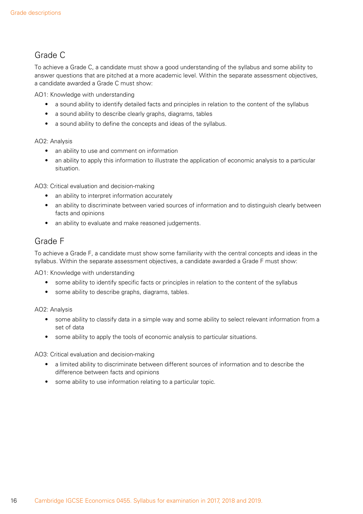## Grade C

To achieve a Grade C, a candidate must show a good understanding of the syllabus and some ability to answer questions that are pitched at a more academic level. Within the separate assessment objectives, a candidate awarded a Grade C must show:

AO1: Knowledge with understanding

- a sound ability to identify detailed facts and principles in relation to the content of the syllabus
- a sound ability to describe clearly graphs, diagrams, tables
- a sound ability to define the concepts and ideas of the syllabus.

#### AO2: Analysis

- an ability to use and comment on information
- an ability to apply this information to illustrate the application of economic analysis to a particular situation.

AO3: Critical evaluation and decision-making

- an ability to interpret information accurately
- an ability to discriminate between varied sources of information and to distinguish clearly between facts and opinions
- an ability to evaluate and make reasoned judgements.

### Grade F

To achieve a Grade F, a candidate must show some familiarity with the central concepts and ideas in the syllabus. Within the separate assessment objectives, a candidate awarded a Grade F must show:

AO1: Knowledge with understanding

- some ability to identify specific facts or principles in relation to the content of the syllabus
- some ability to describe graphs, diagrams, tables.

AO2: Analysis

- some ability to classify data in a simple way and some ability to select relevant information from a set of data
- some ability to apply the tools of economic analysis to particular situations.

AO3: Critical evaluation and decision-making

- a limited ability to discriminate between different sources of information and to describe the difference between facts and opinions
- some ability to use information relating to a particular topic.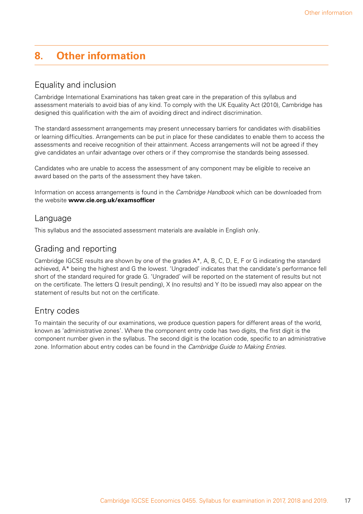# **8. Other information**

#### Equality and inclusion

Cambridge International Examinations has taken great care in the preparation of this syllabus and assessment materials to avoid bias of any kind. To comply with the UK Equality Act (2010), Cambridge has designed this qualification with the aim of avoiding direct and indirect discrimination.

The standard assessment arrangements may present unnecessary barriers for candidates with disabilities or learning difficulties. Arrangements can be put in place for these candidates to enable them to access the assessments and receive recognition of their attainment. Access arrangements will not be agreed if they give candidates an unfair advantage over others or if they compromise the standards being assessed.

Candidates who are unable to access the assessment of any component may be eligible to receive an award based on the parts of the assessment they have taken.

Information on access arrangements is found in the *Cambridge Handbook* which can be downloaded from the website **www.cie.org.uk/examsofficer**

#### Language

This syllabus and the associated assessment materials are available in English only.

#### Grading and reporting

Cambridge IGCSE results are shown by one of the grades A\*, A, B, C, D, E, F or G indicating the standard achieved, A\* being the highest and G the lowest. 'Ungraded' indicates that the candidate's performance fell short of the standard required for grade G. 'Ungraded' will be reported on the statement of results but not on the certificate. The letters Q (result pending), X (no results) and Y (to be issued) may also appear on the statement of results but not on the certificate.

#### Entry codes

To maintain the security of our examinations, we produce question papers for different areas of the world, known as 'administrative zones'. Where the component entry code has two digits, the first digit is the component number given in the syllabus. The second digit is the location code, specific to an administrative zone. Information about entry codes can be found in the *Cambridge Guide to Making Entries*.